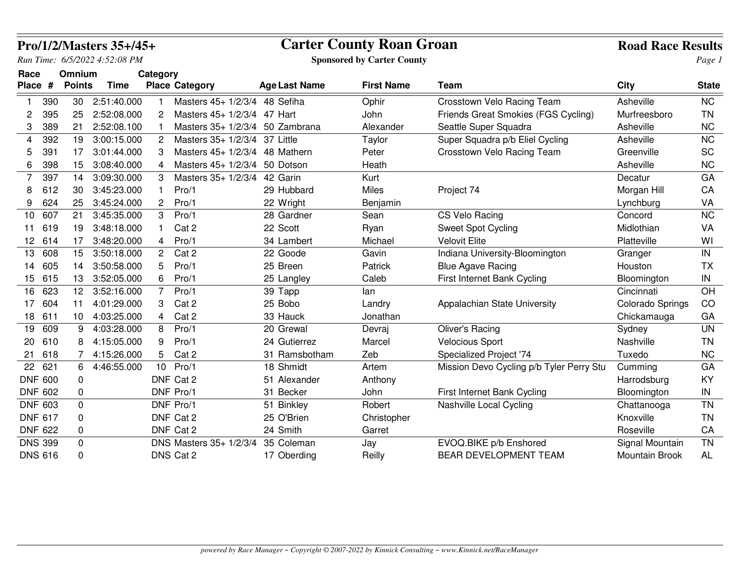|                  |                |                  | Pro/1/2/Masters 35+/45+       |             |                                                 | <b>Carter County Roan Groan</b> |                                   |                                          |                  |              |
|------------------|----------------|------------------|-------------------------------|-------------|-------------------------------------------------|---------------------------------|-----------------------------------|------------------------------------------|------------------|--------------|
|                  |                |                  | Run Time: 6/5/2022 4:52:08 PM |             |                                                 |                                 | <b>Sponsored by Carter County</b> |                                          |                  | Page 1       |
| Race             |                | Omnium           |                               | Category    |                                                 |                                 |                                   |                                          |                  |              |
| Place #          |                | <b>Points</b>    | <b>Time</b>                   |             | <b>Place Category</b>                           | <b>Age Last Name</b>            | <b>First Name</b>                 | <b>Team</b>                              | City             | <b>State</b> |
| $\mathbf{1}$     | 390            | 30               | 2:51:40.000                   |             | Masters 45+ 1/2/3/4 48 Sefiha                   |                                 | Ophir                             | Crosstown Velo Racing Team               | Asheville        | <b>NC</b>    |
| 2                | 395            | 25               | 2:52:08.000                   |             | Masters 45+ 1/2/3/4 47 Hart<br>2                |                                 | John                              | Friends Great Smokies (FGS Cycling)      | Murfreesboro     | <b>TN</b>    |
| 3                | 389            | 21               | 2:52:08.100                   |             | Masters 35+ 1/2/3/4 50 Zambrana                 |                                 | Alexander                         | Seattle Super Squadra                    | Asheville        | <b>NC</b>    |
| 4                | 392            | 19               | 3:00:15.000                   |             | $\overline{c}$<br>Masters 35+ 1/2/3/4 37 Little |                                 | Taylor                            | Super Squadra p/b Eliel Cycling          | Asheville        | <b>NC</b>    |
| 5                | 391            | 17               | 3:01:44.000                   |             | Masters 45+ 1/2/3/4 48 Mathern<br>3             |                                 | Peter                             | Crosstown Velo Racing Team               | Greenville       | SC           |
| 6                | 398            | 15               | 3:08:40.000                   |             | Masters 45+ 1/2/3/4 50 Dotson<br>4              |                                 | Heath                             |                                          | Asheville        | <b>NC</b>    |
| $\overline{7}$   | 397            | 14               | 3:09:30.000                   |             | Masters 35+ 1/2/3/4<br>3                        | 42 Garin                        | Kurt                              |                                          | Decatur          | GA           |
| 8                | 612            | 30               | 3:45:23.000                   | $\mathbf 1$ | Pro/1                                           | 29 Hubbard                      | <b>Miles</b>                      | Project 74                               | Morgan Hill      | CA           |
| 9                | 624            | 25               | 3:45:24.000                   |             | 2<br>Pro/1                                      | 22 Wright                       | Benjamin                          |                                          | Lynchburg        | VA           |
| 10               | 607            | 21               | 3:45:35.000                   |             | 3<br>Pro/1                                      | 28 Gardner                      | Sean                              | CS Velo Racing                           | Concord          | <b>NC</b>    |
| 11               | 619            | 19               | 3:48:18.000                   |             | Cat 2                                           | 22 Scott                        | Ryan                              | <b>Sweet Spot Cycling</b>                | Midlothian       | VA           |
| 12 <sup>12</sup> | 614            | 17               | 3:48:20.000                   |             | Pro/1<br>4                                      | 34 Lambert                      | Michael                           | <b>Velovit Elite</b>                     | Platteville      | WI           |
| 13               | 608            | 15               | 3:50:18.000                   |             | Cat 2<br>$\overline{2}$                         | 22 Goode                        | Gavin                             | Indiana University-Bloomington           | Granger          | $\sf IN$     |
| 14               | 605            | 14               | 3:50:58.000                   |             | Pro/1<br>5                                      | 25 Breen                        | Patrick                           | <b>Blue Agave Racing</b>                 | Houston          | <b>TX</b>    |
| 15               | 615            | 13               | 3:52:05.000                   |             | 6<br>Pro/1                                      | 25 Langley                      | Caleb                             | First Internet Bank Cycling              | Bloomington      | IN           |
| 16               | 623            | 12 <sup>12</sup> | 3:52:16.000                   |             | Pro/1<br>$\overline{7}$                         | 39 Tapp                         | lan                               |                                          | Cincinnati       | OH           |
| 17               | 604            | 11               | 4:01:29.000                   |             | 3<br>Cat 2                                      | 25 Bobo                         | Landry                            | Appalachian State University             | Colorado Springs | CO           |
| 18               | 611            | 10               | 4:03:25.000                   |             | Cat 2<br>4                                      | 33 Hauck                        | Jonathan                          |                                          | Chickamauga      | GA           |
| 19               | 609            | 9                | 4:03:28.000                   |             | Pro/1<br>8                                      | 20 Grewal                       | Devraj                            | Oliver's Racing                          | Sydney           | <b>UN</b>    |
| 20               | 610            | 8                | 4:15:05.000                   | 9           | Pro/1                                           | 24 Gutierrez                    | Marcel                            | <b>Velocious Sport</b>                   | Nashville        | <b>TN</b>    |
| 21               | 618            | 7                | 4:15:26.000                   |             | Cat 2<br>5                                      | 31 Ramsbotham                   | Zeb                               | Specialized Project '74                  | Tuxedo           | <b>NC</b>    |
| 22               | 621            | 6                | 4:46:55.000                   |             | Pro/1<br>10 <sup>°</sup>                        | 18 Shmidt                       | Artem                             | Mission Devo Cycling p/b Tyler Perry Stu | Cumming          | GA           |
|                  | <b>DNF 600</b> | 0                |                               |             | DNF Cat 2                                       | 51 Alexander                    | Anthony                           |                                          | Harrodsburg      | KY           |
|                  | <b>DNF 602</b> | 0                |                               |             | DNF Pro/1                                       | 31 Becker                       | John                              | First Internet Bank Cycling              | Bloomington      | $\sf IN$     |
| <b>DNF 603</b>   |                | 0                |                               |             | DNF Pro/1                                       | 51 Binkley                      | Robert                            | Nashville Local Cycling                  | Chattanooga      | <b>TN</b>    |
| <b>DNF 617</b>   |                | 0                |                               |             | DNF Cat 2                                       | 25 O'Brien                      | Christopher                       |                                          | Knoxville        | <b>TN</b>    |
|                  | <b>DNF 622</b> | 0                |                               |             | DNF Cat 2                                       | 24 Smith                        | Garret                            |                                          | Roseville        | CA           |
| <b>DNS 399</b>   |                | $\mathbf 0$      |                               |             | DNS Masters 35+ 1/2/3/4                         | 35 Coleman                      | Jay                               | EVOQ.BIKE p/b Enshored                   | Signal Mountain  | <b>TN</b>    |
| <b>DNS 616</b>   |                | 0                |                               |             | DNS Cat 2                                       | 17 Oberding                     | Reilly                            | <b>BEAR DEVELOPMENT TEAM</b>             | Mountain Brook   | <b>AL</b>    |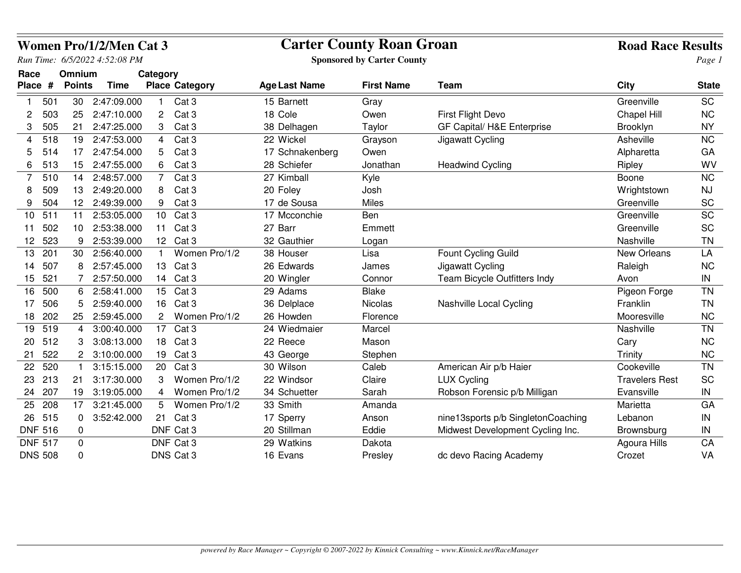|         |                |                 | <b>Women Pro/1/2/Men Cat 3</b> |                       |                       | <b>Carter County Roan Groan</b>   | <b>Road Race Results</b> |                                    |                       |              |
|---------|----------------|-----------------|--------------------------------|-----------------------|-----------------------|-----------------------------------|--------------------------|------------------------------------|-----------------------|--------------|
|         |                |                 | Run Time: 6/5/2022 4:52:08 PM  |                       |                       | <b>Sponsored by Carter County</b> |                          |                                    | Page 1                |              |
| Race    |                | Omnium          |                                | Category              |                       |                                   |                          |                                    |                       |              |
| Place # |                | <b>Points</b>   | <b>Time</b>                    |                       | <b>Place Category</b> | <b>Age Last Name</b>              | <b>First Name</b>        | Team                               | City                  | <b>State</b> |
|         | 501            | 30              | 2:47:09.000                    | 1.                    | Cat 3                 | 15 Barnett                        | Gray                     |                                    | Greenville            | <b>SC</b>    |
| 2       | 503            | 25              | 2:47:10.000                    | $\mathbf{2}^{\prime}$ | Cat <sub>3</sub>      | 18 Cole                           | Owen                     | <b>First Flight Devo</b>           | Chapel Hill           | <b>NC</b>    |
| 3       | 505            | 21              | 2:47:25.000                    | 3                     | Cat <sub>3</sub>      | 38 Delhagen                       | Taylor                   | GF Capital/ H&E Enterprise         | Brooklyn              | <b>NY</b>    |
| 4       | 518            | 19              | 2:47:53.000                    | 4                     | Cat <sub>3</sub>      | 22 Wickel                         | Grayson                  | Jigawatt Cycling                   | Asheville             | <b>NC</b>    |
| 5       | 514            | 17              | 2:47:54.000                    | 5                     | Cat <sub>3</sub>      | 17 Schnakenberg                   | Owen                     |                                    | Alpharetta            | GA           |
| 6       | 513            | 15              | 2:47:55.000                    | 6                     | Cat <sub>3</sub>      | 28 Schiefer                       | Jonathan                 | <b>Headwind Cycling</b>            | Ripley                | WV           |
| 7       | 510            | 14              | 2:48:57.000                    | $\overline{7}$        | Cat <sub>3</sub>      | 27 Kimball                        | Kyle                     |                                    | Boone                 | <b>NC</b>    |
| 8       | 509            | 13              | 2:49:20.000                    | 8                     | Cat <sub>3</sub>      | 20 Foley                          | Josh                     |                                    | Wrightstown           | <b>NJ</b>    |
| 9       | 504            |                 | 12 2:49:39.000                 | 9                     | Cat <sub>3</sub>      | 17 de Sousa                       | Miles                    |                                    | Greenville            | SC           |
| 10      | 511            | 11              | 2:53:05.000                    | 10 <sup>1</sup>       | Cat <sub>3</sub>      | 17 Mcconchie                      | Ben                      |                                    | Greenville            | <b>SC</b>    |
| 11      | 502            | 10 <sub>1</sub> | 2:53:38.000                    | 11                    | Cat <sub>3</sub>      | 27 Barr                           | Emmett                   |                                    | Greenville            | SC           |
| 12      | 523            | 9               | 2:53:39.000                    | 12 <sup>°</sup>       | Cat <sub>3</sub>      | 32 Gauthier                       | Logan                    |                                    | Nashville             | <b>TN</b>    |
| 13      | 201            | 30              | 2:56:40.000                    | $\mathbf{1}$          | Women Pro/1/2         | 38 Houser                         | Lisa                     | Fount Cycling Guild                | New Orleans           | LA           |
| 14      | 507            | 8               | 2:57:45.000                    | 13                    | Cat 3                 | 26 Edwards                        | James                    | Jigawatt Cycling                   | Raleigh               | <b>NC</b>    |
| 15      | 521            |                 | 2:57:50.000                    | 14                    | Cat <sub>3</sub>      | 20 Wingler                        | Connor                   | Team Bicycle Outfitters Indy       | Avon                  | IN           |
| 16      | 500            | 6               | 2:58:41.000                    | 15                    | Cat <sub>3</sub>      | 29 Adams                          | <b>Blake</b>             |                                    | Pigeon Forge          | <b>TN</b>    |
| 17      | 506            | 5               | 2:59:40.000                    | 16                    | Cat <sub>3</sub>      | 36 Delplace                       | <b>Nicolas</b>           | Nashville Local Cycling            | Franklin              | <b>TN</b>    |
| 18      | 202            | 25              | 2:59:45.000                    |                       | Women Pro/1/2         | 26 Howden                         | Florence                 |                                    | Mooresville           | <b>NC</b>    |
| 19      | 519            | 4               | 3:00:40.000                    | 17                    | Cat <sub>3</sub>      | 24 Wiedmaier                      | Marcel                   |                                    | Nashville             | <b>TN</b>    |
| 20      | 512            |                 | 3:08:13.000                    | 18                    | Cat <sub>3</sub>      | 22 Reece                          | Mason                    |                                    | Cary                  | <b>NC</b>    |
| 21      | 522            | $\mathbf{2}$    | 3:10:00.000                    | 19                    | Cat <sub>3</sub>      | 43 George                         | Stephen                  |                                    | Trinity               | <b>NC</b>    |
| 22      | 520            |                 | 3:15:15.000                    | 20                    | Cat <sub>3</sub>      | 30 Wilson                         | Caleb                    | American Air p/b Haier             | Cookeville            | <b>TN</b>    |
| 23      | 213            | 21              | 3:17:30.000                    | 3                     | Women Pro/1/2         | 22 Windsor                        | Claire                   | <b>LUX Cycling</b>                 | <b>Travelers Rest</b> | SC           |
| 24      | 207            | 19              | 3:19:05.000                    | 4                     | Women Pro/1/2         | 34 Schuetter                      | Sarah                    | Robson Forensic p/b Milligan       | Evansville            | IN           |
| 25      | 208            | 17              | 3:21:45.000                    | 5.                    | Women Pro/1/2         | 33 Smith                          | Amanda                   |                                    | Marietta              | GA           |
| 26      | 515            | $\mathbf 0$     | 3:52:42.000                    | 21                    | Cat <sub>3</sub>      | 17 Sperry                         | Anson                    | nine13sports p/b SingletonCoaching | Lebanon               | IN           |
|         | <b>DNF 516</b> | 0               |                                |                       | DNF Cat 3             | 20 Stillman                       | Eddie                    | Midwest Development Cycling Inc.   | Brownsburg            | IN           |
|         | <b>DNF 517</b> | $\mathbf 0$     |                                |                       | DNF Cat 3             | 29 Watkins                        | Dakota                   |                                    | Agoura Hills          | CA           |
|         | <b>DNS 508</b> | 0               |                                |                       | DNS Cat 3             | 16 Evans                          | Presley                  | dc devo Racing Academy             | Crozet                | VA           |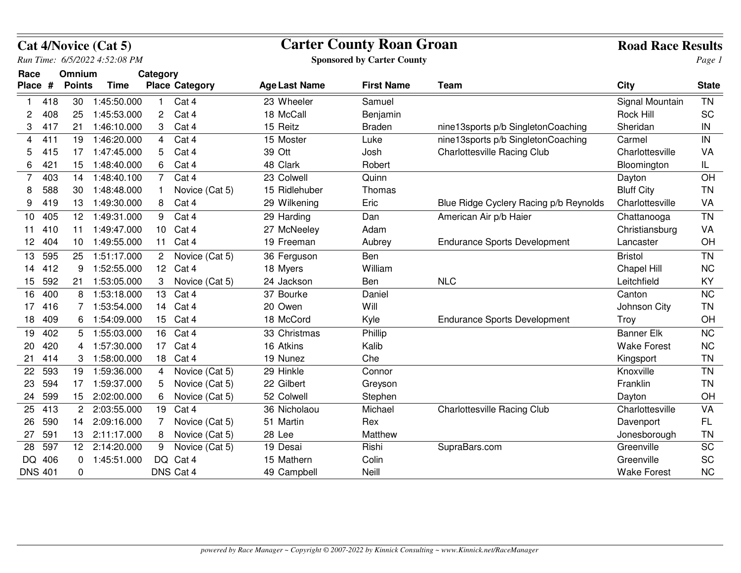|                |     |                 | Cat 4/Novice (Cat 5)          |                       |                       | <b>Carter County Roan Groan</b>   | <b>Road Race Results</b> |                                        |                    |              |
|----------------|-----|-----------------|-------------------------------|-----------------------|-----------------------|-----------------------------------|--------------------------|----------------------------------------|--------------------|--------------|
|                |     |                 | Run Time: 6/5/2022 4:52:08 PM |                       |                       | <b>Sponsored by Carter County</b> |                          | Page 1                                 |                    |              |
| Race           |     | Omnium          |                               | Category              |                       |                                   |                          |                                        |                    |              |
| Place #        |     | <b>Points</b>   | <b>Time</b>                   |                       | <b>Place Category</b> | <b>Age Last Name</b>              | <b>First Name</b>        | <b>Team</b>                            | <b>City</b>        | <b>State</b> |
| 1              | 418 | 30              | 1:45:50.000                   | 1.                    | Cat 4                 | 23 Wheeler                        | Samuel                   |                                        | Signal Mountain    | <b>TN</b>    |
| 2              | 408 | 25              | 1:45:53.000                   | 2                     | Cat 4                 | 18 McCall                         | Benjamin                 |                                        | <b>Rock Hill</b>   | <b>SC</b>    |
| 3              | 417 | 21              | 1:46:10.000                   | 3                     | Cat 4                 | 15 Reitz                          | <b>Braden</b>            | nine13sports p/b SingletonCoaching     | Sheridan           | ${\sf IN}$   |
| 4              | 411 | 19              | 1:46:20.000                   | $\overline{4}$        | Cat 4                 | 15 Moster                         | Luke                     | nine13sports p/b SingletonCoaching     | Carmel             | $\sf IN$     |
| 5              | 415 |                 | 17 1:47:45.000                | 5                     | Cat 4                 | 39 Ott                            | Josh                     | <b>Charlottesville Racing Club</b>     | Charlottesville    | VA           |
| 6              | 421 | 15              | 1:48:40.000                   | 6                     | Cat 4                 | 48 Clark                          | Robert                   |                                        | Bloomington        | IL.          |
| 7              | 403 | 14              | 1:48:40.100                   | 7                     | Cat 4                 | 23 Colwell                        | Quinn                    |                                        | Dayton             | OH           |
| 8              | 588 | 30              | 1:48:48.000                   |                       | Novice (Cat 5)        | 15 Ridlehuber                     | Thomas                   |                                        | <b>Bluff City</b>  | <b>TN</b>    |
| 9              | 419 | 13              | 1:49:30.000                   | 8                     | Cat 4                 | 29 Wilkening                      | Eric                     | Blue Ridge Cyclery Racing p/b Reynolds | Charlottesville    | VA           |
| 10             | 405 | 12 <sup>7</sup> | 1:49:31.000                   | 9                     | Cat 4                 | 29 Harding                        | Dan                      | American Air p/b Haier                 | Chattanooga        | <b>TN</b>    |
| 11             | 410 | 11              | 1:49:47.000                   | 10                    | Cat 4                 | 27 McNeeley                       | Adam                     |                                        | Christiansburg     | VA           |
| 12             | 404 | 10 <sup>°</sup> | 1:49:55.000                   | 11                    | Cat 4                 | 19 Freeman                        | Aubrey                   | <b>Endurance Sports Development</b>    | Lancaster          | OH           |
| 13             | 595 | 25              | 1:51:17.000                   | $\mathbf{2}^{\prime}$ | Novice (Cat 5)        | 36 Ferguson                       | Ben                      |                                        | <b>Bristol</b>     | <b>TN</b>    |
| 14             | 412 | 9               | 1:52:55.000                   | 12                    | Cat 4                 | 18 Myers                          | William                  |                                        | Chapel Hill        | <b>NC</b>    |
| 15             | 592 |                 | 21 1:53:05.000                | 3                     | Novice (Cat 5)        | 24 Jackson                        | Ben                      | <b>NLC</b>                             | Leitchfield        | KY           |
| 16             | 400 | 8               | 1:53:18.000                   | 13                    | Cat 4                 | 37 Bourke                         | Daniel                   |                                        | Canton             | <b>NC</b>    |
| 17             | 416 | 7               | 1:53:54.000                   | 14                    | Cat 4                 | 20 Owen                           | Will                     |                                        | Johnson City       | <b>TN</b>    |
| 18             | 409 | 6               | 1:54:09.000                   | 15                    | Cat 4                 | 18 McCord                         | Kyle                     | <b>Endurance Sports Development</b>    | Troy               | OH           |
| 19             | 402 | 5               | 1:55:03.000                   | 16                    | Cat 4                 | 33 Christmas                      | Phillip                  |                                        | <b>Banner Elk</b>  | NC           |
| 20             | 420 | 4               | 1:57:30.000                   | 17                    | Cat 4                 | 16 Atkins                         | Kalib                    |                                        | <b>Wake Forest</b> | <b>NC</b>    |
| 21             | 414 | 3               | 1:58:00.000                   | 18                    | Cat 4                 | 19 Nunez                          | Che                      |                                        | Kingsport          | <b>TN</b>    |
| 22             | 593 | 19              | 1:59:36.000                   | 4                     | Novice (Cat 5)        | 29 Hinkle                         | Connor                   |                                        | Knoxville          | <b>TN</b>    |
| 23             | 594 | 17              | 1:59:37.000                   | 5                     | Novice (Cat 5)        | 22 Gilbert                        | Greyson                  |                                        | Franklin           | <b>TN</b>    |
| 24             | 599 | 15 <sub>1</sub> | 2:02:00.000                   | 6                     | Novice (Cat 5)        | 52 Colwell                        | Stephen                  |                                        | Dayton             | OH           |
| 25             | 413 | $\overline{2}$  | 2:03:55.000                   | 19                    | Cat 4                 | 36 Nicholaou                      | Michael                  | <b>Charlottesville Racing Club</b>     | Charlottesville    | VA           |
| 26             | 590 | 14              | 2:09:16.000                   | 7                     | Novice (Cat 5)        | 51 Martin                         | Rex                      |                                        | Davenport          | FL.          |
| 27             | 591 | 13              | 2:11:17.000                   | 8                     | Novice (Cat 5)        | 28 Lee                            | Matthew                  |                                        | Jonesborough       | <b>TN</b>    |
| 28             | 597 |                 | 12 2:14:20.000                | 9                     | Novice (Cat 5)        | 19 Desai                          | Rishi                    | SupraBars.com                          | Greenville         | SC           |
| <b>DQ</b>      | 406 | $\Omega$        | 1:45:51.000                   | DQ                    | Cat 4                 | 15 Mathern                        | Colin                    |                                        | Greenville         | SC           |
| <b>DNS 401</b> |     | $\Omega$        |                               |                       | DNS Cat 4             | 49 Campbell                       | Neill                    |                                        | <b>Wake Forest</b> | <b>NC</b>    |

## **Cat 4/Novice (Cat 5)**

## **Road Race Results**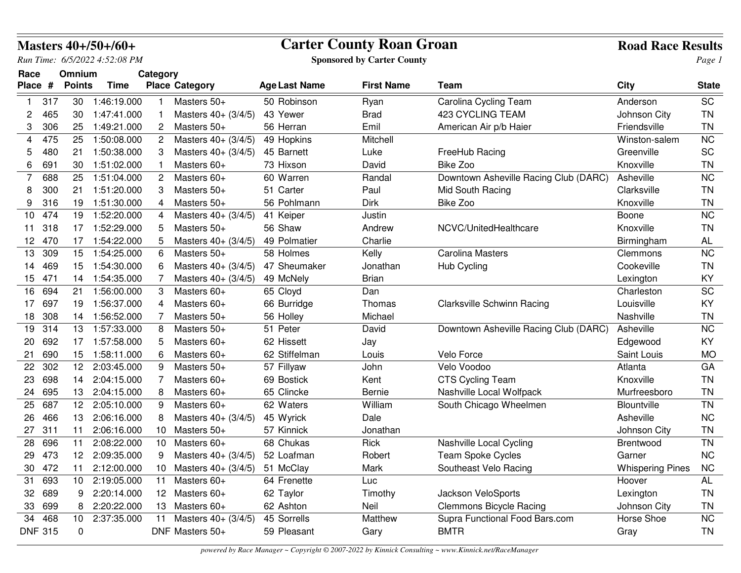|                |                |               | <b>Masters 40+/50+/60+</b>    |                      | <b>Carter County Roan Groan</b>   |                      |                                   |                                       |                         | <b>Road Race Results</b> |
|----------------|----------------|---------------|-------------------------------|----------------------|-----------------------------------|----------------------|-----------------------------------|---------------------------------------|-------------------------|--------------------------|
|                |                |               | Run Time: 6/5/2022 4:52:08 PM |                      |                                   |                      | <b>Sponsored by Carter County</b> |                                       |                         | Page 1                   |
| Race           |                | Omnium        |                               | Category             |                                   |                      |                                   |                                       |                         |                          |
| Place #        |                | <b>Points</b> | <b>Time</b>                   |                      | <b>Place Category</b>             | <b>Age Last Name</b> | <b>First Name</b>                 | Team                                  | <b>City</b>             | <b>State</b>             |
| $\mathbf{1}$   | 317            | 30            | 1:46:19.000                   |                      | Masters 50+                       | 50 Robinson          | Ryan                              | Carolina Cycling Team                 | Anderson                | <b>SC</b>                |
| 2              | 465            | 30            | 1:47:41.000                   |                      | Masters $40 + (3/4/5)$            | 43 Yewer             | <b>Brad</b>                       | 423 CYCLING TEAM                      | Johnson City            | <b>TN</b>                |
| 3              | 306            | 25            | 1:49:21.000                   | 2                    | Masters 50+                       | 56 Herran            | Emil                              | American Air p/b Haier                | Friendsville            | <b>TN</b>                |
| 4              | 475            | 25            | 1:50:08.000                   | $\mathbf{2}$         | Masters 40+ (3/4/5)               | 49 Hopkins           | Mitchell                          |                                       | Winston-salem           | <b>NC</b>                |
| 5              | 480            | 21            | 1:50:38.000                   | 3                    | Masters 40+ (3/4/5)               | 45 Barnett           | Luke                              | FreeHub Racing                        | Greenville              | SC                       |
| 6              | 691            | 30            | 1:51:02.000                   |                      | Masters 60+                       | 73 Hixson            | David                             | Bike Zoo                              | Knoxville               | <b>TN</b>                |
| $\overline{7}$ | 688            | 25            | 1:51:04.000                   | $\mathbf{2}^{\circ}$ | Masters 60+                       | 60 Warren            | Randal                            | Downtown Asheville Racing Club (DARC) | Asheville               | <b>NC</b>                |
| 8              | 300            | 21            | 1:51:20.000                   |                      | Masters 50+                       | 51 Carter            | Paul                              | Mid South Racing                      | Clarksville             | TN                       |
| 9              | 316            | 19            | 1:51:30.000                   | 4                    | Masters 50+                       | 56 Pohlmann          | Dirk                              | Bike Zoo                              | Knoxville               | TN                       |
| 10             | 474            | 19            | 1:52:20.000                   | 4                    | Masters $40 + (3/4/5)$            | 41 Keiper            | Justin                            |                                       | Boone                   | NC                       |
| 11             | 318            | 17            | 1:52:29.000                   | 5                    | Masters 50+                       | 56 Shaw              | Andrew                            | NCVC/UnitedHealthcare                 | Knoxville               | <b>TN</b>                |
| 12             | 470            | 17            | 1:54:22.000                   | 5                    | Masters $40 + (3/4/5)$            | 49 Polmatier         | Charlie                           |                                       | Birmingham              | AL                       |
| 13             | 309            | 15            | 1:54:25.000                   | 6                    | Masters 50+                       | 58 Holmes            | Kelly                             | <b>Carolina Masters</b>               | Clemmons                | <b>NC</b>                |
| 14             | 469            | 15            | 1:54:30.000                   | 6                    | Masters 40+ (3/4/5)               | 47 Sheumaker         | Jonathan                          | Hub Cycling                           | Cookeville              | <b>TN</b>                |
| 15             | 471            |               | 14 1:54:35.000                |                      | Masters 40+ (3/4/5)               | 49 McNely            | <b>Brian</b>                      |                                       | Lexington               | KY                       |
| 16             | 694            | 21            | 1:56:00.000                   | 3                    | Masters 60+                       | 65 Cloyd             | Dan                               |                                       | Charleston              | SC                       |
| 17             | 697            | 19            | 1:56:37.000                   | 4                    | Masters 60+                       | 66 Burridge          | Thomas                            | <b>Clarksville Schwinn Racing</b>     | Louisville              | KY                       |
| 18             | 308            | 14            | 1:56:52.000                   |                      | Masters 50+                       | 56 Holley            | Michael                           |                                       | Nashville               | ΤN                       |
| 19             | 314            | 13            | 1:57:33.000                   | 8                    | Masters 50+                       | 51 Peter             | David                             | Downtown Asheville Racing Club (DARC) | Asheville               | <b>NC</b>                |
| 20             | 692            | 17            | 1:57:58.000                   | 5                    | Masters 60+                       | 62 Hissett           | Jay                               |                                       | Edgewood                | KY                       |
| 21             | 690            | 15            | 1:58:11.000                   | 6                    | Masters 60+                       | 62 Stiffelman        | Louis                             | Velo Force                            | Saint Louis             | <b>MO</b>                |
| 22             | 302            | 12            | 2:03:45.000                   | 9                    | Masters 50+                       | 57 Fillyaw           | John                              | Velo Voodoo                           | Atlanta                 | GA                       |
| 23             | 698            | 14            | 2:04:15.000                   | 7                    | Masters 60+                       | 69 Bostick           | Kent                              | <b>CTS Cycling Team</b>               | Knoxville               | TN                       |
| 24             | 695            | 13            | 2:04:15.000                   | 8                    | Masters 60+                       | 65 Clincke           | Bernie                            | Nashville Local Wolfpack              | Murfreesboro            | TN                       |
| 25             | 687            | 12            | 2:05:10.000                   | 9                    | Masters 60+                       | 62 Waters            | William                           | South Chicago Wheelmen                | Blountville             | <b>TN</b>                |
| 26             | 466            | 13            | 2:06:16.000                   | 8                    | Masters $40 + (3/4/5)$            | 45 Wyrick            | Dale                              |                                       | Asheville               | <b>NC</b>                |
| 27             | 311            | 11            | 2:06:16.000                   | 10                   | Masters 50+                       | 57 Kinnick           | Jonathan                          |                                       | Johnson City            | <b>TN</b>                |
| 28             | 696            | 11            | 2:08:22.000                   | 10                   | Masters 60+                       | 68 Chukas            | <b>Rick</b>                       | Nashville Local Cycling               | <b>Brentwood</b>        | <b>TN</b>                |
|                | 29 473         |               | 12 2:09:35.000                | 9                    | Masters $40 + (3/4/5)$ 52 Loafman |                      | Robert                            | <b>Team Spoke Cycles</b>              | Garner                  | <b>NC</b>                |
| 30             | 472            | 11            | 2:12:00.000                   |                      | 10 Masters 40+ (3/4/5)            | 51 McClay            | Mark                              | Southeast Velo Racing                 | <b>Whispering Pines</b> | NC                       |
| 31             | 693            | 10            | 2:19:05.000                   | 11                   | Masters 60+                       | 64 Frenette          | Luc                               |                                       | Hoover                  | AL                       |
| 32             | 689            | 9             | 2:20:14.000                   | 12                   | Masters 60+                       | 62 Taylor            | Timothy                           | Jackson VeloSports                    | Lexington               | <b>TN</b>                |
| 33             | 699            | 8             | 2:20:22.000                   | 13                   | Masters 60+                       | 62 Ashton            | Neil                              | <b>Clemmons Bicycle Racing</b>        | Johnson City            | ΤN                       |
|                | 34 468         | 10            | 2:37:35.000                   | 11                   | Masters $40 + (3/4/5)$            | 45 Sorrells          | Matthew                           | Supra Functional Food Bars.com        | Horse Shoe              | NC                       |
|                | <b>DNF 315</b> | 0             |                               |                      | DNF Masters 50+                   | 59 Pleasant          | Gary                              | <b>BMTR</b>                           | Gray                    | TN                       |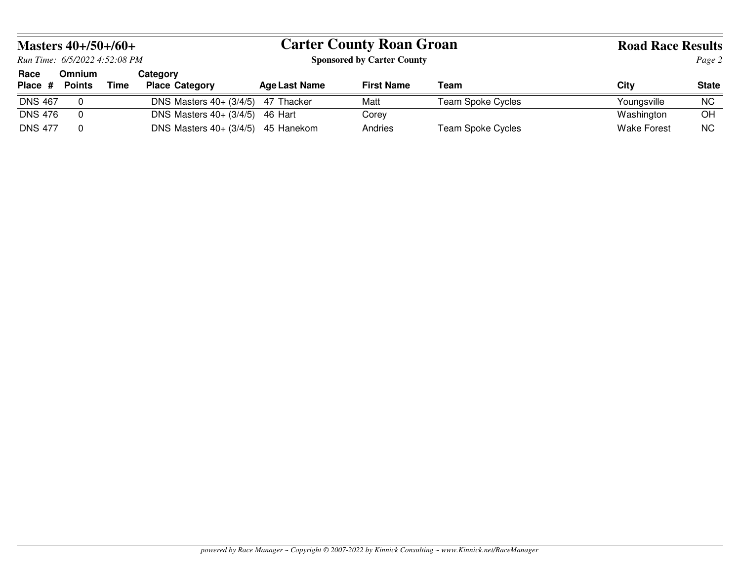| <b>Masters 40+/50+/60+</b>    |                                |      |                                          |                                   | <b>Carter County Roan Groan</b> | <b>Road Race Results</b> |                    |              |
|-------------------------------|--------------------------------|------|------------------------------------------|-----------------------------------|---------------------------------|--------------------------|--------------------|--------------|
| Run Time: 6/5/2022 4:52:08 PM |                                |      |                                          | <b>Sponsored by Carter County</b> |                                 | Page 2                   |                    |              |
| Race<br>Place #               | <b>Omnium</b><br><b>Points</b> | Time | <b>Category</b><br><b>Place Category</b> | <b>Age Last Name</b>              | <b>First Name</b>               | Team                     | Citv               | <b>State</b> |
| <b>DNS 467</b>                | 0                              |      | DNS Masters $40 + (3/4/5)$               | 47 Thacker                        | Matt                            | <b>Team Spoke Cycles</b> | Youngsville        | <b>NC</b>    |
| <b>DNS 476</b>                | 0                              |      | DNS Masters $40 + (3/4/5)$               | 46 Hart                           | Corev                           |                          | Washington         | OH           |
| <b>DNS 477</b>                | 0                              |      | DNS Masters $40 + (3/4/5)$               | 45 Hanekom                        | Andries                         | <b>Team Spoke Cycles</b> | <b>Wake Forest</b> | <b>NC</b>    |